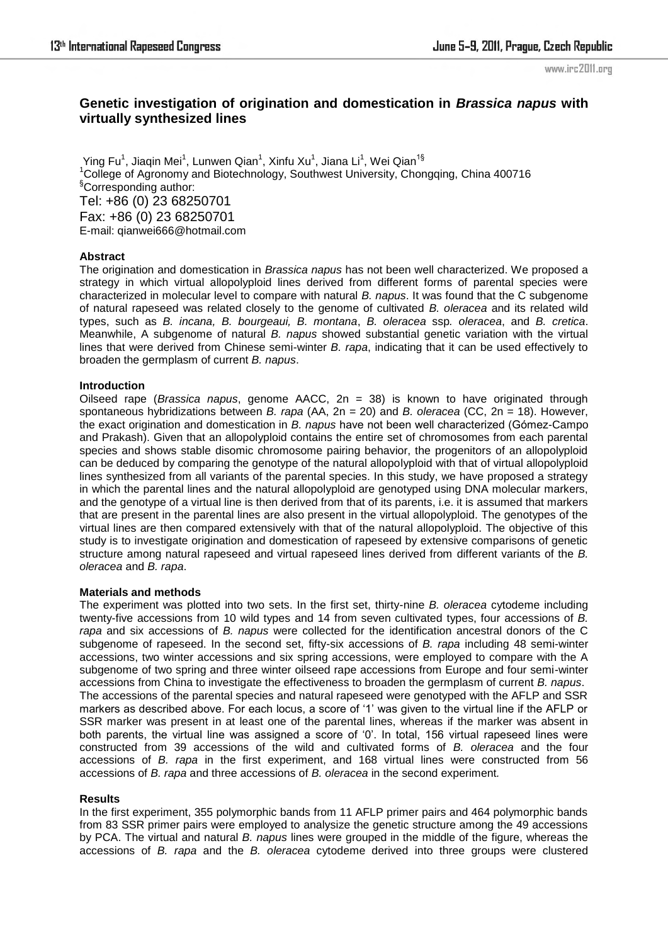www.irc2011.org

# **Genetic investigation of origination and domestication in** *Brassica napus* **with virtually synthesized lines**

Ying Fu<sup>1</sup>, Jiaqin Mei<sup>1</sup>, Lunwen Qian<sup>1</sup>, Xinfu Xu<sup>1</sup>, Jiana Li<sup>1</sup>, Wei Qian<sup>1§</sup>  $1$ College of Agronomy and Biotechnology, Southwest University, Chongqing, China 400716 §Corresponding author: Tel: +86 (0) 23 68250701 Fax: +86 (0) 23 68250701 E-mail: qianwei666@hotmail.com

# **Abstract**

The origination and domestication in *Brassica napus* has not been well characterized. We proposed a strategy in which virtual allopolyploid lines derived from different forms of parental species were characterized in molecular level to compare with natural *B. napus*. It was found that the C subgenome of natural rapeseed was related closely to the genome of cultivated *B. oleracea* and its related wild types, such as *B. incana, B. bourgeaui, B. montana*, *B. oleracea* ssp*. oleracea*, and *B. cretica*. Meanwhile, A subgenome of natural *B. napus* showed substantial genetic variation with the virtual lines that were derived from Chinese semi-winter *B. rapa*, indicating that it can be used effectively to broaden the germplasm of current *B. napus*.

# **Introduction**

Oilseed rape (*Brassica napus*, genome AACC, 2n = 38) is known to have originated through spontaneous hybridizations between *B. rapa* (AA, 2n = 20) and *B. oleracea* (CC, 2n = 18). However, the exact origination and domestication in *B. napus* have not been well characterized (Gómez-Campo and Prakash). Given that an allopolyploid contains the entire set of chromosomes from each parental species and shows stable disomic chromosome pairing behavior, the progenitors of an allopolyploid can be deduced by comparing the genotype of the natural allopolyploid with that of virtual allopolyploid lines synthesized from all variants of the parental species. In this study, we have proposed a strategy in which the parental lines and the natural allopolyploid are genotyped using DNA molecular markers, and the genotype of a virtual line is then derived from that of its parents, i.e. it is assumed that markers that are present in the parental lines are also present in the virtual allopolyploid. The genotypes of the virtual lines are then compared extensively with that of the natural allopolyploid. The objective of this study is to investigate origination and domestication of rapeseed by extensive comparisons of genetic structure among natural rapeseed and virtual rapeseed lines derived from different variants of the *B. oleracea* and *B. rapa*.

# **Materials and methods**

The experiment was plotted into two sets. In the first set, thirty-nine *B. oleracea* cytodeme including twenty-five accessions from 10 wild types and 14 from seven cultivated types, four accessions of *B. rapa* and six accessions of *B. napus* were collected for the identification ancestral donors of the C subgenome of rapeseed. In the second set, fifty-six accessions of *B. rapa* including 48 semi-winter accessions, two winter accessions and six spring accessions, were employed to compare with the A subgenome of two spring and three winter oilseed rape accessions from Europe and four semi-winter accessions from China to investigate the effectiveness to broaden the germplasm of current *B. napus*. The accessions of the parental species and natural rapeseed were genotyped with the AFLP and SSR markers as described above. For each locus, a score of '1' was given to the virtual line if the AFLP or SSR marker was present in at least one of the parental lines, whereas if the marker was absent in both parents, the virtual line was assigned a score of '0'. In total, 156 virtual rapeseed lines were constructed from 39 accessions of the wild and cultivated forms of *B. oleracea* and the four accessions of *B. rapa* in the first experiment, and 168 virtual lines were constructed from 56 accessions of *B. rapa* and three accessions of *B. oleracea* in the second experiment*.* 

# **Results**

In the first experiment, 355 polymorphic bands from 11 AFLP primer pairs and 464 polymorphic bands from 83 SSR primer pairs were employed to analysize the genetic structure among the 49 accessions by PCA. The virtual and natural *B. napus* lines were grouped in the middle of the figure, whereas the accessions of *B. rapa* and the *B. oleracea* cytodeme derived into three groups were clustered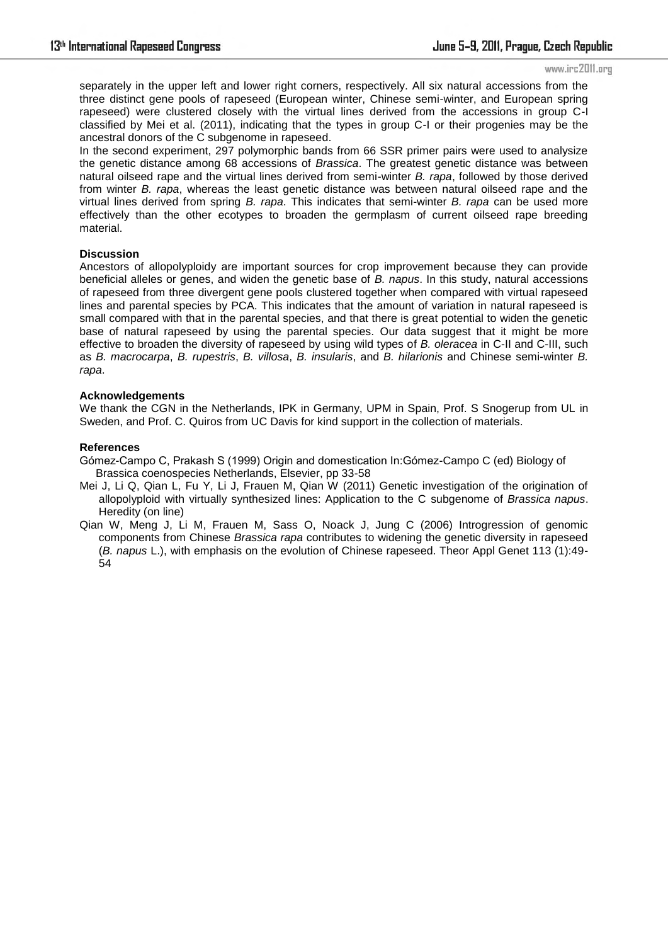#### www.irc2011.org

separately in the upper left and lower right corners, respectively. All six natural accessions from the three distinct gene pools of rapeseed (European winter, Chinese semi-winter, and European spring rapeseed) were clustered closely with the virtual lines derived from the accessions in group C-I classified by Mei et al. (2011), indicating that the types in group C-I or their progenies may be the ancestral donors of the C subgenome in rapeseed.

In the second experiment, 297 polymorphic bands from 66 SSR primer pairs were used to analysize the genetic distance among 68 accessions of *Brassica*. The greatest genetic distance was between natural oilseed rape and the virtual lines derived from semi-winter *B. rapa*, followed by those derived from winter *B. rapa*, whereas the least genetic distance was between natural oilseed rape and the virtual lines derived from spring *B. rapa*. This indicates that semi-winter *B. rapa* can be used more effectively than the other ecotypes to broaden the germplasm of current oilseed rape breeding material.

#### **Discussion**

Ancestors of allopolyploidy are important sources for crop improvement because they can provide beneficial alleles or genes, and widen the genetic base of *B. napus*. In this study, natural accessions of rapeseed from three divergent gene pools clustered together when compared with virtual rapeseed lines and parental species by PCA. This indicates that the amount of variation in natural rapeseed is small compared with that in the parental species, and that there is great potential to widen the genetic base of natural rapeseed by using the parental species. Our data suggest that it might be more effective to broaden the diversity of rapeseed by using wild types of *B. oleracea* in C-II and C-III, such as *B. macrocarpa*, *B. rupestris*, *B. villosa*, *B. insularis*, and *B. hilarionis* and Chinese semi-winter *B. rapa*.

#### **Acknowledgements**

We thank the CGN in the Netherlands, IPK in Germany, UPM in Spain, Prof. S Snogerup from UL in Sweden, and Prof. C. Quiros from UC Davis for kind support in the collection of materials.

#### **References**

- Gómez-Campo C, Prakash S (1999) Origin and domestication In:Gómez-Campo C (ed) Biology of Brassica coenospecies Netherlands, Elsevier, pp 33-58
- Mei J, Li Q, Qian L, Fu Y, Li J, Frauen M, Qian W (2011) Genetic investigation of the origination of allopolyploid with virtually synthesized lines: Application to the C subgenome of *Brassica napus*. Heredity (on line)
- Qian W, Meng J, Li M, Frauen M, Sass O, Noack J, Jung C (2006) Introgression of genomic components from Chinese *Brassica rapa* contributes to widening the genetic diversity in rapeseed (*B. napus* L.), with emphasis on the evolution of Chinese rapeseed. Theor Appl Genet 113 (1):49- 54